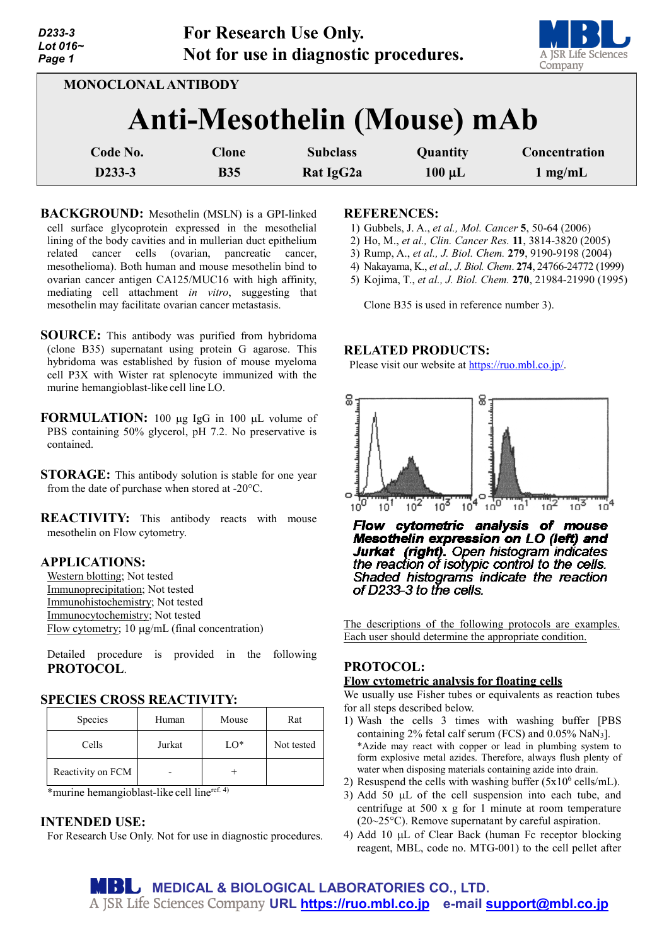| D233-3<br>Lot 016~<br>Page 1 |                                                           | <b>For Research Use Only.</b><br>Not for use in diagnostic procedures. |                         | A JSR Life Sciences<br>Company |
|------------------------------|-----------------------------------------------------------|------------------------------------------------------------------------|-------------------------|--------------------------------|
|                              | <b>MONOCLONAL ANTIBODY</b><br>Anti-Mesothelin (Mouse) mAb |                                                                        |                         |                                |
| Code No.<br>D233-3           | <b>Clone</b><br><b>B35</b>                                | <b>Subclass</b><br>Rat IgG2a                                           | Quantity<br>$100 \mu L$ | Concentration<br>$1$ mg/mL     |

- **BACKGROUND:** Mesothelin (MSLN) is a GPI-linked cell surface glycoprotein expressed in the mesothelial lining of the body cavities and in mullerian duct epithelium related cancer cells (ovarian, pancreatic cancer, mesothelioma). Both human and mouse mesothelin bind to ovarian cancer antigen CA125/MUC16 with high affinity, mediating cell attachment *in vitro*, suggesting that mesothelin may facilitate ovarian cancer metastasis.
- **SOURCE:** This antibody was purified from hybridoma (clone B35) supernatant using protein G agarose. This hybridoma was established by fusion of mouse myeloma cell P3X with Wister rat splenocyte immunized with the murine hemangioblast-like cell line LO.
- **FORMULATION:** 100 µg IgG in 100 µL volume of PBS containing 50% glycerol, pH 7.2. No preservative is contained.
- **STORAGE:** This antibody solution is stable for one year from the date of purchase when stored at -20°C.
- **REACTIVITY:** This antibody reacts with mouse mesothelin on Flow cytometry.

# **APPLICATIONS:**

Western blotting; Not tested Immunoprecipitation; Not tested Immunohistochemistry; Not tested Immunocytochemistry; Not tested Flow cytometry; 10 µg/mL (final concentration)

Detailed procedure is provided in the following **PROTOCOL**.

### **SPECIES CROSS REACTIVITY:**

| Species           | Human  | Mouse  | Rat        |
|-------------------|--------|--------|------------|
| Cells             | Jurkat | $LO^*$ | Not tested |
| Reactivity on FCM |        |        |            |

\*murine hemangioblast-like cell lineref. 4)

### **INTENDED USE:**

For Research Use Only. Not for use in diagnostic procedures.

#### **REFERENCES:**

- 1) Gubbels, J. A., *et al., Mol. Cancer* **5**, 50-64 (2006)
- 2) Ho, M., *et al., Clin. Cancer Res.* **11**, 3814-3820 (2005)
- 3) Rump, A., *et al., J. Biol. Chem.* **279**, 9190-9198 (2004)
- 4) Nakayama, K., *et al., J. Biol. Chem*. **274**, 24766-24772 (1999)
- 5) Kojima, T., *et al., J. Biol. Chem.* **270**, 21984-21990 (1995)

Clone B35 is used in reference number 3).

## **RELATED PRODUCTS:**

Please visit our website at [https://ruo.mbl.co.jp/.](https://ruo.mbl.co.jp/)



Flow cytometric analysis of mouse Mesothelin expression on LO (left) and Jurkat (right). Open histogram indicates the reaction of isotypic control to the cells. Shaded histograms indicate the reaction of D233-3 to the cells.

The descriptions of the following protocols are examples. Each user should determine the appropriate condition.

# **PROTOCOL:**

## **Flow cytometric analysis for floating cells**

We usually use Fisher tubes or equivalents as reaction tubes for all steps described below.

- 1) Wash the cells 3 times with washing buffer [PBS containing 2% fetal calf serum (FCS) and  $0.05\%$  NaN<sub>3</sub>]. \*Azide may react with copper or lead in plumbing system to form explosive metal azides. Therefore, always flush plenty of water when disposing materials containing azide into drain.
- 2) Resuspend the cells with washing buffer  $(5x10^6 \text{ cells/mL})$ .
- 3) Add 50 µL of the cell suspension into each tube, and centrifuge at 500 x g for 1 minute at room temperature (20~25°C). Remove supernatant by careful aspiration.
- 4) Add 10 µL of Clear Back (human Fc receptor blocking reagent, MBL, code no. MTG-001) to the cell pellet after

**MEDICAL & BIOLOGICAL LABORATORIES CO., LTD. URL [https://ruo.mbl.co.jp](https://ruo.mbl.co.jp/) e-mail [support@mbl.co.jp](mailto:support@mbl.co.jp)**